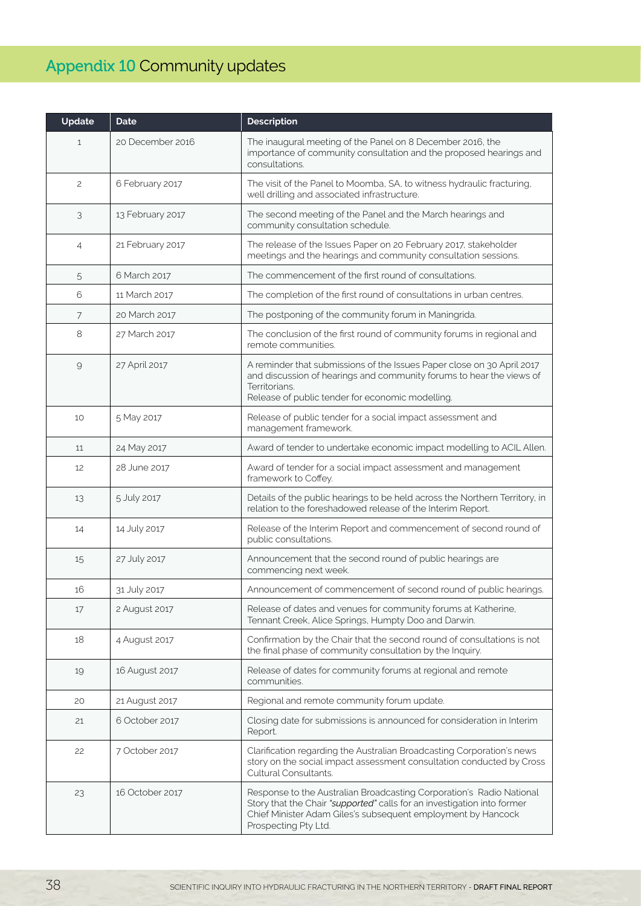## Appendix 10 Community updates

| Update         | <b>Date</b>      | <b>Description</b>                                                                                                                                                                                                                      |
|----------------|------------------|-----------------------------------------------------------------------------------------------------------------------------------------------------------------------------------------------------------------------------------------|
| $\mathbf{1}$   | 20 December 2016 | The inaugural meeting of the Panel on 8 December 2016, the<br>importance of community consultation and the proposed hearings and<br>consultations.                                                                                      |
| 2              | 6 February 2017  | The visit of the Panel to Moomba, SA, to witness hydraulic fracturing,<br>well drilling and associated infrastructure.                                                                                                                  |
| 3              | 13 February 2017 | The second meeting of the Panel and the March hearings and<br>community consultation schedule.                                                                                                                                          |
| $\overline{4}$ | 21 February 2017 | The release of the Issues Paper on 20 February 2017, stakeholder<br>meetings and the hearings and community consultation sessions.                                                                                                      |
| 5              | 6 March 2017     | The commencement of the first round of consultations.                                                                                                                                                                                   |
| 6              | 11 March 2017    | The completion of the first round of consultations in urban centres.                                                                                                                                                                    |
| 7              | 20 March 2017    | The postponing of the community forum in Maningrida.                                                                                                                                                                                    |
| 8              | 27 March 2017    | The conclusion of the first round of community forums in regional and<br>remote communities.                                                                                                                                            |
| $\mathcal{Q}$  | 27 April 2017    | A reminder that submissions of the Issues Paper close on 30 April 2017<br>and discussion of hearings and community forums to hear the views of<br>Territorians.<br>Release of public tender for economic modelling.                     |
| 10             | 5 May 2017       | Release of public tender for a social impact assessment and<br>management framework.                                                                                                                                                    |
| 11             | 24 May 2017      | Award of tender to undertake economic impact modelling to ACIL Allen.                                                                                                                                                                   |
| 12             | 28 June 2017     | Award of tender for a social impact assessment and management<br>framework to Coffey.                                                                                                                                                   |
| 13             | 5 July 2017      | Details of the public hearings to be held across the Northern Territory, in<br>relation to the foreshadowed release of the Interim Report.                                                                                              |
| 14             | 14 July 2017     | Release of the Interim Report and commencement of second round of<br>public consultations.                                                                                                                                              |
| 15             | 27 July 2017     | Announcement that the second round of public hearings are<br>commencing next week.                                                                                                                                                      |
| 16             | 31 July 2017     | Announcement of commencement of second round of public hearings.                                                                                                                                                                        |
| 17             | 2 August 2017    | Release of dates and venues for community forums at Katherine,<br>Tennant Creek, Alice Springs, Humpty Doo and Darwin.                                                                                                                  |
| 18             | 4 August 2017    | Confirmation by the Chair that the second round of consultations is not<br>the final phase of community consultation by the Inquiry.                                                                                                    |
| 19             | 16 August 2017   | Release of dates for community forums at regional and remote<br>communities.                                                                                                                                                            |
| 20             | 21 August 2017   | Regional and remote community forum update.                                                                                                                                                                                             |
| 21             | 6 October 2017   | Closing date for submissions is announced for consideration in Interim<br>Report.                                                                                                                                                       |
| 22             | 7 October 2017   | Clarification regarding the Australian Broadcasting Corporation's news<br>story on the social impact assessment consultation conducted by Cross<br>Cultural Consultants.                                                                |
| 23             | 16 October 2017  | Response to the Australian Broadcasting Corporation's Radio National<br>Story that the Chair "supported" calls for an investigation into former<br>Chief Minister Adam Giles's subsequent employment by Hancock<br>Prospecting Pty Ltd. |